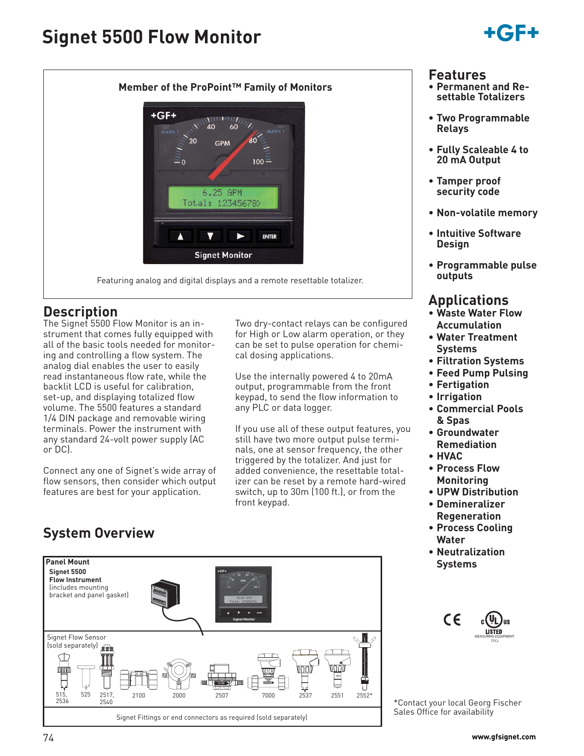# **Signet 5500 Flow Monitor**





### **Description**

The Signet 5500 Flow Monitor is an instrument that comes fully equipped with all of the basic tools needed for monitoring and controlling a flow system. The analog dial enables the user to easily read instantaneous flow rate, while the backlit LCD is useful for calibration, set-up, and displaying totalized flow volume. The 5500 features a standard 1/4 DIN package and removable wiring terminals. Power the instrument with any standard 24-volt power supply (AC or DC).

Connect any one of Signet's wide array of flow sensors, then consider which output features are best for your application.

### **System Overview**

**Panel Mount Signet 5500 Flow Instrument** (includes mounting bracket and panel gasket) Signet Flow Sensor sign separately)  $\cdot$ ∏ **FLOW**  $\Box$ 515, 525 2517, 2100 2000 2507 7000 2537 2552\* 2551 2536 2540 Signet Fittings or end connectors as required (sold separately)

#### Two dry-contact relays can be configured for High or Low alarm operation, or they can be set to pulse operation for chemical dosing applications.

Use the internally powered 4 to 20mA output, programmable from the front keypad, to send the flow information to any PLC or data logger.

If you use all of these output features, you still have two more output pulse terminals, one at sensor frequency, the other triggered by the totalizer. And just for added convenience, the resettable totalizer can be reset by a remote hard-wired switch, up to 30m (100 ft.), or from the front keypad.



MEASURING EQUIPMENT 77CJ

**IISTED** 

\*Contact your local Georg Fischer Sales Office for availability

#### **Features**

- **Permanent and Resettable Totalizers**
- **Two Programmable Relays**
- **Fully Scaleable 4 to 20 mA Output**
- **Tamper proof security code**
- **Non-volatile memory**
- **Intuitive Software Design**
- **Programmable pulse outputs**

### **Applications**

- **Waste Water Flow Accumulation**
- **Water Treatment Systems**
- **Filtration Systems**
- **Feed Pump Pulsing**
- **Fertigation**
- **Irrigation**
- **Commercial Pools & Spas**
- **Groundwater Remediation**
- **HVAC**
- **Process Flow Monitoring**
- **UPW Distribution**
- **Demineralizer Regeneration**
- **Process Cooling Water**
- **Neutralization Systems**